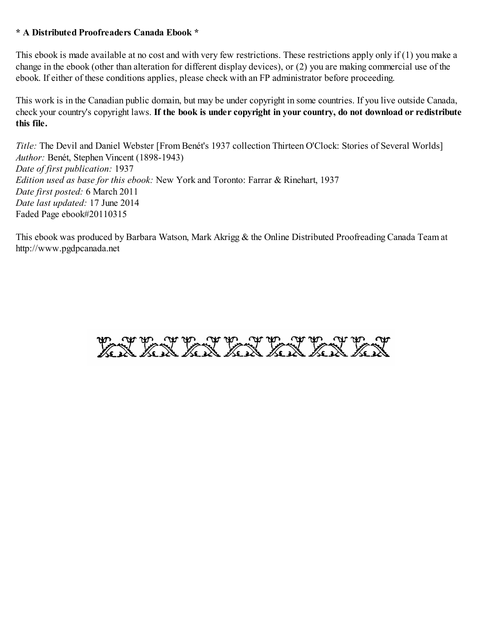## **\* A Distributed Proofreaders Canada Ebook \***

This ebook is made available at no cost and with very few restrictions. These restrictions apply only if (1) you make a change in the ebook (other than alteration for different display devices), or (2) you are making commercial use of the ebook. If either of these conditions applies, please check with an FP administrator before proceeding.

This work is in the Canadian public domain, but may be under copyright in some countries. If you live outside Canada, check your country's copyright laws. **If the book is under copyright in your country, do not download or redistribute this file.**

*Title:* The Devil and Daniel Webster [From Benét's 1937 collection Thirteen O'Clock: Stories of Several Worlds] *Author:* Benét, Stephen Vincent (1898-1943) *Date of first publication:* 1937 *Edition used as base for this ebook:* New York and Toronto: Farrar & Rinehart, 1937 *Date first posted:* 6 March 2011 *Date last updated:* 17 June 2014 Faded Page ebook#20110315

This ebook was produced by Barbara Watson, Mark Akrigg & the Online Distributed Proofreading Canada Team at http://www.pgdpcanada.net

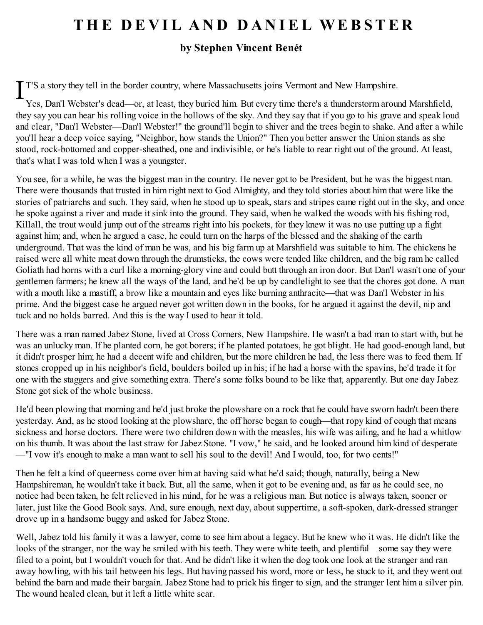## **T H E D E V I L A N D D A N I E L WE B S T E R**

## **by Stephen Vincent Benét**

I T'S a story they tell in the border country, where Massachusetts joins Vermont and New Hampshire.<br>Ves. Dan't Webster's dead—or, at least, they buried him. But every time there's a thunderstorm arour

Yes, Dan'l Webster's dead—or, at least, they buried him. But every time there's a thunderstorm around Marshfield, they say you can hear his rolling voice in the hollows of the sky. And they say that if you go to his grave and speak loud and clear, "Dan'l Webster—Dan'l Webster!" the ground'll begin to shiver and the trees begin to shake. And after a while you'll hear a deep voice saying, "Neighbor, how stands the Union?" Then you better answer the Union stands as she stood, rock-bottomed and copper-sheathed, one and indivisible, or he's liable to rear right out of the ground. At least, that's what I was told when I was a youngster.

You see, for a while, he was the biggest man in the country. He never got to be President, but he was the biggest man. There were thousands that trusted in him right next to God Almighty, and they told stories about him that were like the stories of patriarchs and such. They said, when he stood up to speak, stars and stripes came right out in the sky, and once he spoke against a river and made it sink into the ground. They said, when he walked the woods with his fishing rod, Killall, the trout would jump out of the streams right into his pockets, for they knew it was no use putting up a fight against him; and, when he argued a case, he could turn on the harps of the blessed and the shaking of the earth underground. That was the kind of man he was, and his big farm up at Marshfield was suitable to him. The chickens he raised were all white meat down through the drumsticks, the cows were tended like children, and the big ram he called Goliath had horns with a curl like a morning-glory vine and could butt through an iron door. But Dan'l wasn't one of your gentlemen farmers; he knew all the ways of the land, and he'd be up by candlelight to see that the chores got done. A man with a mouth like a mastiff, a brow like a mountain and eyes like burning anthracite—that was Dan'l Webster in his prime. And the biggest case he argued never got written down in the books, for he argued it against the devil, nip and tuck and no holds barred. And this is the way I used to hear it told.

There was a man named Jabez Stone, lived at Cross Corners, New Hampshire. He wasn't a bad man to start with, but he was an unlucky man. If he planted corn, he got borers; if he planted potatoes, he got blight. He had good-enough land, but it didn't prosper him; he had a decent wife and children, but the more children he had, the less there was to feed them. If stones cropped up in his neighbor's field, boulders boiled up in his; if he had a horse with the spavins, he'd trade it for one with the staggers and give something extra. There's some folks bound to be like that, apparently. But one day Jabez Stone got sick of the whole business.

He'd been plowing that morning and he'd just broke the plowshare on a rock that he could have sworn hadn't been there yesterday. And, as he stood looking at the plowshare, the off horse began to cough—that ropy kind of cough that means sickness and horse doctors. There were two children down with the measles, his wife was ailing, and he had a whitlow on his thumb. It was about the last straw for Jabez Stone. "I vow," he said, and he looked around him kind of desperate —"I vow it's enough to make a man want to sell his soul to the devil! And I would, too, for two cents!"

Then he felt a kind of queerness come over him at having said what he'd said; though, naturally, being a New Hampshireman, he wouldn't take it back. But, all the same, when it got to be evening and, as far as he could see, no notice had been taken, he felt relieved in his mind, for he was a religious man. But notice is always taken, sooner or later, just like the Good Book says. And, sure enough, next day, about suppertime, a soft-spoken, dark-dressed stranger drove up in a handsome buggy and asked for Jabez Stone.

Well, Jabez told his family it was a lawyer, come to see him about a legacy. But he knew who it was. He didn't like the looks of the stranger, nor the way he smiled with his teeth. They were white teeth, and plentiful—some say they were filed to a point, but I wouldn't vouch for that. And he didn't like it when the dog took one look at the stranger and ran away howling, with his tail between his legs. But having passed his word, more or less, he stuck to it, and they went out behind the barn and made their bargain. Jabez Stone had to prick his finger to sign, and the stranger lent him a silver pin. The wound healed clean, but it left a little white scar.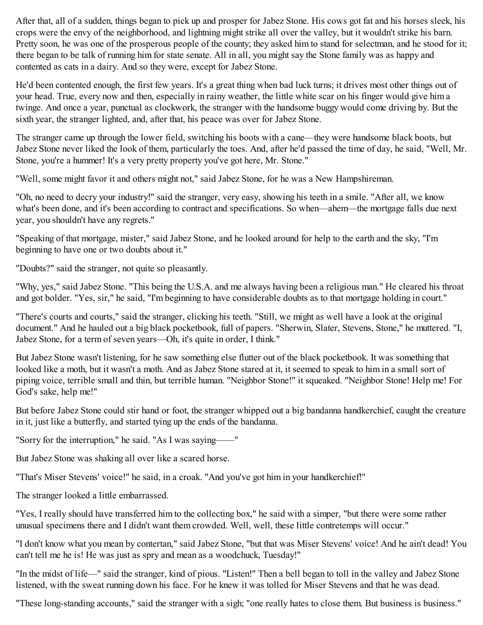After that, all of a sudden, things began to pick up and prosper for Jabez Stone. His cows got fat and his horses sleek, his crops were the envy of the neighborhood, and lightning might strike all over the valley, but it wouldn't strike his barn. Pretty soon, he was one of the prosperous people of the county; they asked him to stand for selectman, and he stood for it; there began to be talk of running him for state senate. All in all, you might say the Stone family was as happy and contented as cats in a dairy. And so they were, except for Jabez Stone.

He'd been contented enough, the first few years. It's a great thing when bad luck turns; it drives most other things out of your head. True, every now and then, especially in rainy weather, the little white scar on his finger would give him a twinge. And once a year, punctual as clockwork, the stranger with the handsome buggy would come driving by. But the sixth year, the stranger lighted, and, after that, his peace was over for Jabez Stone.

The stranger came up through the lower field, switching his boots with a cane—they were handsome black boots, but Jabez Stone never liked the look of them, particularly the toes. And, after he'd passed the time of day, he said, "Well, Mr. Stone, you're a hummer! It's a very pretty property you've got here, Mr. Stone."

"Well, some might favor it and others might not," said Jabez Stone, for he was a New Hampshireman.

"Oh, no need to decry your industry!" said the stranger, very easy, showing his teeth in a smile. "After all, we know what's been done, and it's been according to contract and specifications. So when—ahem—the mortgage falls due next year, you shouldn't have any regrets."

"Speaking of that mortgage, mister," said Jabez Stone, and he looked around for help to the earth and the sky, "I'm beginning to have one or two doubts about it."

"Doubts?" said the stranger, not quite so pleasantly.

"Why, yes," said Jabez Stone. "This being the U.S.A. and me always having been a religious man." He cleared his throat and got bolder. "Yes, sir," he said, "I'm beginning to have considerable doubts as to that mortgage holding in court."

"There's courts and courts," said the stranger, clicking his teeth. "Still, we might as well have a look at the original document." And he hauled out a big black pocketbook, full of papers. "Sherwin, Slater, Stevens, Stone," he muttered. "I, Jabez Stone, for a term of seven years—Oh, it's quite in order, I think."

But Jabez Stone wasn't listening, for he saw something else flutter out of the black pocketbook. It was something that looked like a moth, but it wasn't a moth. And as Jabez Stone stared at it, it seemed to speak to him in a small sort of piping voice, terrible small and thin, but terrible human. "Neighbor Stone!" it squeaked. "Neighbor Stone! Help me! For God's sake, help me!"

But before Jabez Stone could stir hand or foot, the stranger whipped out a big bandanna handkerchief, caught the creature in it, just like a butterfly, and started tying up the ends of the bandanna.

"Sorry for the interruption," he said. "As I was saying——"

But Jabez Stone was shaking all over like a scared horse.

"That's Miser Stevens' voice!" he said, in a croak. "And you've got him in your handkerchief!"

The stranger looked a little embarrassed.

"Yes, I really should have transferred him to the collecting box," he said with a simper, "but there were some rather unusual specimens there and I didn't want them crowded. Well, well, these little contretemps will occur."

"I don't know what you mean by contertan," said Jabez Stone, "but that was Miser Stevens' voice! And he ain't dead! You can't tell me he is! He was just as spry and mean as a woodchuck, Tuesday!"

"In the midst of life—" said the stranger, kind of pious. "Listen!" Then a bell began to toll in the valley and Jabez Stone listened, with the sweat running down his face. For he knew it was tolled for Miser Stevens and that he was dead.

"These long-standing accounts," said the stranger with a sigh; "one really hates to close them. But business is business."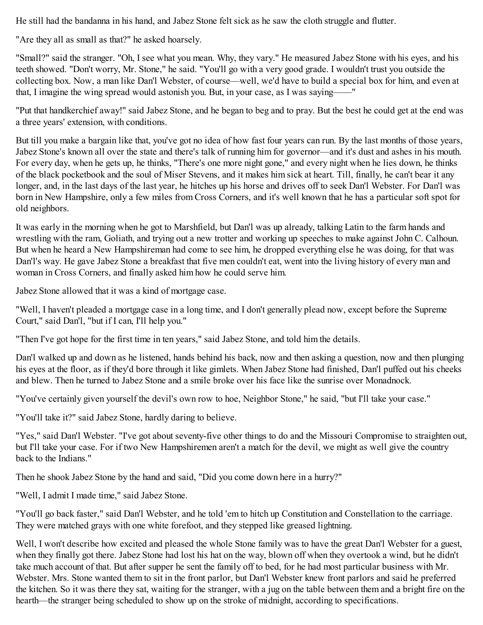He still had the bandanna in his hand, and Jabez Stone felt sick as he saw the cloth struggle and flutter.

"Are they all as small as that?" he asked hoarsely.

"Small?" said the stranger. "Oh, I see what you mean. Why, they vary." He measured Jabez Stone with his eyes, and his teeth showed. "Don't worry, Mr. Stone," he said. "You'll go with a very good grade. I wouldn't trust you outside the collecting box. Now, a man like Dan'l Webster, of course—well, we'd have to build a special box for him, and even at that, I imagine the wing spread would astonish you. But, in your case, as I was saying——"

"Put that handkerchief away!" said Jabez Stone, and he began to beg and to pray. But the best he could get at the end was a three years' extension, with conditions.

But till you make a bargain like that, you've got no idea of how fast four years can run. By the last months of those years, Jabez Stone's known all over the state and there's talk of running him for governor—and it's dust and ashes in his mouth. For every day, when he gets up, he thinks, "There's one more night gone," and every night when he lies down, he thinks of the black pocketbook and the soul of Miser Stevens, and it makes him sick at heart. Till, finally, he can't bear it any longer, and, in the last days of the last year, he hitches up his horse and drives off to seek Dan'l Webster. For Dan'l was born in New Hampshire, only a few miles from Cross Corners, and it's well known that he has a particular soft spot for old neighbors.

It was early in the morning when he got to Marshfield, but Dan'l was up already, talking Latin to the farm hands and wrestling with the ram, Goliath, and trying out a new trotter and working up speeches to make against John C. Calhoun. But when he heard a New Hampshireman had come to see him, he dropped everything else he was doing, for that was Dan'l's way. He gave Jabez Stone a breakfast that five men couldn't eat, went into the living history of every man and woman in Cross Corners, and finally asked him how he could serve him.

Jabez Stone allowed that it was a kind of mortgage case.

"Well, I haven't pleaded a mortgage case in a long time, and I don't generally plead now, except before the Supreme Court," said Dan'l, "but if I can, I'll help you."

"Then I've got hope for the first time in ten years," said Jabez Stone, and told him the details.

Dan'l walked up and down as he listened, hands behind his back, now and then asking a question, now and then plunging his eyes at the floor, as if they'd bore through it like gimlets. When Jabez Stone had finished, Dan'l puffed out his cheeks and blew. Then he turned to Jabez Stone and a smile broke over his face like the sunrise over Monadnock.

"You've certainly given yourself the devil's own row to hoe, Neighbor Stone," he said, "but I'll take your case."

"You'll take it?" said Jabez Stone, hardly daring to believe.

"Yes," said Dan'l Webster. "I've got about seventy-five other things to do and the Missouri Compromise to straighten out, but I'll take your case. For if two New Hampshiremen aren't a match for the devil, we might as well give the country back to the Indians."

Then he shook Jabez Stone by the hand and said, "Did you come down here in a hurry?"

"Well, I admit I made time," said Jabez Stone.

"You'll go back faster," said Dan'l Webster, and he told 'em to hitch up Constitution and Constellation to the carriage. They were matched grays with one white forefoot, and they stepped like greased lightning.

Well, I won't describe how excited and pleased the whole Stone family was to have the great Dan'l Webster for a guest, when they finally got there. Jabez Stone had lost his hat on the way, blown off when they overtook a wind, but he didn't take much account of that. But after supper he sent the family off to bed, for he had most particular business with Mr. Webster. Mrs. Stone wanted them to sit in the front parlor, but Dan'l Webster knew front parlors and said he preferred the kitchen. So it was there they sat, waiting for the stranger, with a jug on the table between them and a bright fire on the hearth—the stranger being scheduled to show up on the stroke of midnight, according to specifications.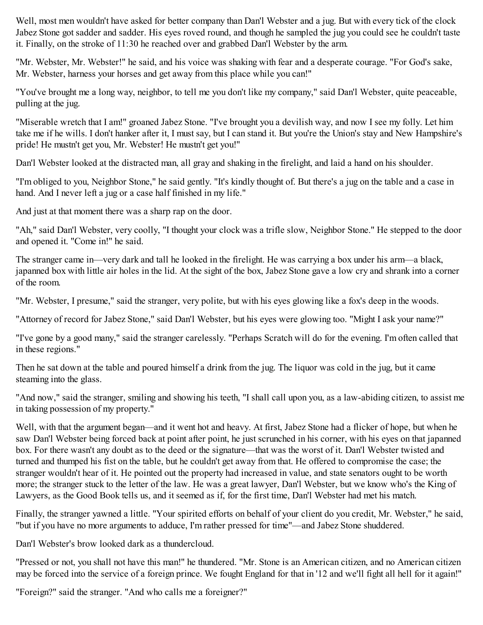Well, most men wouldn't have asked for better company than Dan'l Webster and a jug. But with every tick of the clock Jabez Stone got sadder and sadder. His eyes roved round, and though he sampled the jug you could see he couldn't taste it. Finally, on the stroke of 11:30 he reached over and grabbed Dan'l Webster by the arm.

"Mr. Webster, Mr. Webster!" he said, and his voice was shaking with fear and a desperate courage. "For God's sake, Mr. Webster, harness your horses and get away from this place while you can!"

"You've brought me a long way, neighbor, to tell me you don't like my company," said Dan'l Webster, quite peaceable, pulling at the jug.

"Miserable wretch that I am!" groaned Jabez Stone. "I've brought you a devilish way, and now I see my folly. Let him take me if he wills. I don't hanker after it, I must say, but I can stand it. But you're the Union's stay and New Hampshire's pride! He mustn't get you, Mr. Webster! He mustn't get you!"

Dan'l Webster looked at the distracted man, all gray and shaking in the firelight, and laid a hand on his shoulder.

"I'm obliged to you, Neighbor Stone," he said gently. "It's kindly thought of. But there's a jug on the table and a case in hand. And I never left a jug or a case half finished in my life."

And just at that moment there was a sharp rap on the door.

"Ah," said Dan'l Webster, very coolly, "I thought your clock was a trifle slow, Neighbor Stone." He stepped to the door and opened it. "Come in!" he said.

The stranger came in—very dark and tall he looked in the firelight. He was carrying a box under his arm—a black, japanned box with little air holes in the lid. At the sight of the box, Jabez Stone gave a low cry and shrank into a corner of the room.

"Mr. Webster, I presume," said the stranger, very polite, but with his eyes glowing like a fox's deep in the woods.

"Attorney of record for Jabez Stone," said Dan'l Webster, but his eyes were glowing too. "Might I ask your name?"

"I've gone by a good many," said the stranger carelessly. "Perhaps Scratch will do for the evening. I'm often called that in these regions."

Then he sat down at the table and poured himself a drink from the jug. The liquor was cold in the jug, but it came steaming into the glass.

"And now," said the stranger, smiling and showing his teeth, "I shall call upon you, as a law-abiding citizen, to assist me in taking possession of my property."

Well, with that the argument began—and it went hot and heavy. At first, Jabez Stone had a flicker of hope, but when he saw Dan'l Webster being forced back at point after point, he just scrunched in his corner, with his eyes on that japanned box. For there wasn't any doubt as to the deed or the signature—that was the worst of it. Dan'l Webster twisted and turned and thumped his fist on the table, but he couldn't get away from that. He offered to compromise the case; the stranger wouldn't hear of it. He pointed out the property had increased in value, and state senators ought to be worth more; the stranger stuck to the letter of the law. He was a great lawyer, Dan'l Webster, but we know who's the King of Lawyers, as the Good Book tells us, and it seemed as if, for the first time, Dan'l Webster had met his match.

Finally, the stranger yawned a little. "Your spirited efforts on behalf of your client do you credit, Mr. Webster," he said, "but if you have no more arguments to adduce, I'm rather pressed for time"—and Jabez Stone shuddered.

Dan'l Webster's brow looked dark as a thundercloud.

"Pressed or not, you shall not have this man!" he thundered. "Mr. Stone is an American citizen, and no American citizen may be forced into the service of a foreign prince. We fought England for that in '12 and we'll fight all hell for it again!"

"Foreign?" said the stranger. "And who calls me a foreigner?"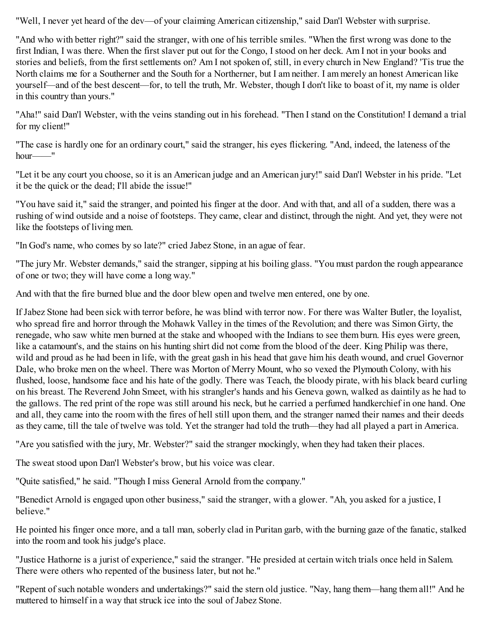"Well, I never yet heard of the dev—of your claiming American citizenship," said Dan'l Webster with surprise.

"And who with better right?" said the stranger, with one of his terrible smiles. "When the first wrong was done to the first Indian, I was there. When the first slaver put out for the Congo, I stood on her deck. Am I not in your books and stories and beliefs, from the first settlements on? Am I not spoken of, still, in every church in New England? 'Tis true the North claims me for a Southerner and the South for a Northerner, but I am neither. I am merely an honest American like yourself—and of the best descent—for, to tell the truth, Mr. Webster, though I don't like to boast of it, my name is older in this country than yours."

"Aha!" said Dan'l Webster, with the veins standing out in his forehead. "Then I stand on the Constitution! I demand a trial for my client!"

"The case is hardly one for an ordinary court," said the stranger, his eyes flickering. "And, indeed, the lateness of the hour——"

"Let it be any court you choose, so it is an American judge and an American jury!" said Dan'l Webster in his pride. "Let it be the quick or the dead; I'll abide the issue!"

"You have said it," said the stranger, and pointed his finger at the door. And with that, and all of a sudden, there was a rushing of wind outside and a noise of footsteps. They came, clear and distinct, through the night. And yet, they were not like the footsteps of living men.

"In God's name, who comes by so late?" cried Jabez Stone, in an ague of fear.

"The jury Mr. Webster demands," said the stranger, sipping at his boiling glass. "You must pardon the rough appearance of one or two; they will have come a long way."

And with that the fire burned blue and the door blew open and twelve men entered, one by one.

If Jabez Stone had been sick with terror before, he was blind with terror now. For there was Walter Butler, the loyalist, who spread fire and horror through the Mohawk Valley in the times of the Revolution; and there was Simon Girty, the renegade, who saw white men burned at the stake and whooped with the Indians to see them burn. His eyes were green, like a catamount's, and the stains on his hunting shirt did not come from the blood of the deer. King Philip was there, wild and proud as he had been in life, with the great gash in his head that gave him his death wound, and cruel Governor Dale, who broke men on the wheel. There was Morton of Merry Mount, who so vexed the Plymouth Colony, with his flushed, loose, handsome face and his hate of the godly. There was Teach, the bloody pirate, with his black beard curling on his breast. The Reverend John Smeet, with his strangler's hands and his Geneva gown, walked as daintily as he had to the gallows. The red print of the rope was still around his neck, but he carried a perfumed handkerchief in one hand. One and all, they came into the room with the fires of hell still upon them, and the stranger named their names and their deeds as they came, till the tale of twelve was told. Yet the stranger had told the truth—they had all played a part in America.

"Are you satisfied with the jury, Mr. Webster?" said the stranger mockingly, when they had taken their places.

The sweat stood upon Dan'l Webster's brow, but his voice was clear.

"Quite satisfied," he said. "Though I miss General Arnold from the company."

"Benedict Arnold is engaged upon other business," said the stranger, with a glower. "Ah, you asked for a justice, I believe."

He pointed his finger once more, and a tall man, soberly clad in Puritan garb, with the burning gaze of the fanatic, stalked into the room and took his judge's place.

"Justice Hathorne is a jurist of experience," said the stranger. "He presided at certain witch trials once held in Salem. There were others who repented of the business later, but not he."

"Repent of such notable wonders and undertakings?" said the stern old justice. "Nay, hang them—hang them all!" And he muttered to himself in a way that struck ice into the soul of Jabez Stone.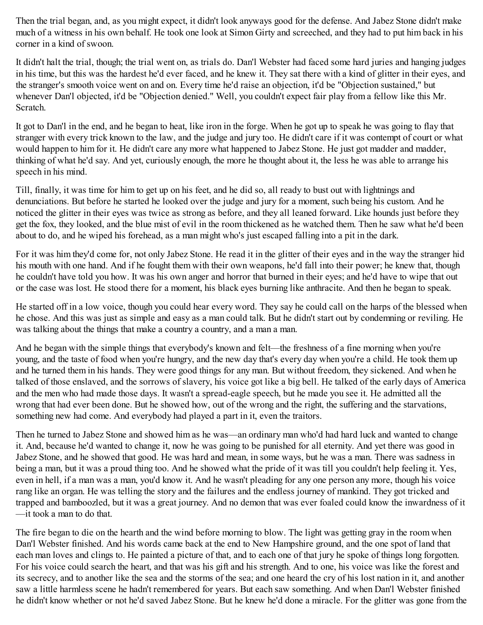Then the trial began, and, as you might expect, it didn't look anyways good for the defense. And Jabez Stone didn't make much of a witness in his own behalf. He took one look at Simon Girty and screeched, and they had to put him back in his corner in a kind of swoon.

It didn't halt the trial, though; the trial went on, as trials do. Dan'l Webster had faced some hard juries and hanging judges in his time, but this was the hardest he'd ever faced, and he knew it. They sat there with a kind of glitter in their eyes, and the stranger's smooth voice went on and on. Every time he'd raise an objection, it'd be "Objection sustained," but whenever Dan'l objected, it'd be "Objection denied." Well, you couldn't expect fair play from a fellow like this Mr. Scratch.

It got to Dan'l in the end, and he began to heat, like iron in the forge. When he got up to speak he was going to flay that stranger with every trick known to the law, and the judge and jury too. He didn't care if it was contempt of court or what would happen to him for it. He didn't care any more what happened to Jabez Stone. He just got madder and madder, thinking of what he'd say. And yet, curiously enough, the more he thought about it, the less he was able to arrange his speech in his mind.

Till, finally, it was time for him to get up on his feet, and he did so, all ready to bust out with lightnings and denunciations. But before he started he looked over the judge and jury for a moment, such being his custom. And he noticed the glitter in their eyes was twice as strong as before, and they all leaned forward. Like hounds just before they get the fox, they looked, and the blue mist of evil in the room thickened as he watched them. Then he saw what he'd been about to do, and he wiped his forehead, as a man might who's just escaped falling into a pit in the dark.

For it was him they'd come for, not only Jabez Stone. He read it in the glitter of their eyes and in the way the stranger hid his mouth with one hand. And if he fought them with their own weapons, he'd fall into their power; he knew that, though he couldn't have told you how. It was his own anger and horror that burned in their eyes; and he'd have to wipe that out or the case was lost. He stood there for a moment, his black eyes burning like anthracite. And then he began to speak.

He started off in a low voice, though you could hear every word. They say he could call on the harps of the blessed when he chose. And this was just as simple and easy as a man could talk. But he didn't start out by condemning or reviling. He was talking about the things that make a country a country, and a man a man.

And he began with the simple things that everybody's known and felt—the freshness of a fine morning when you're young, and the taste of food when you're hungry, and the new day that's every day when you're a child. He took them up and he turned them in his hands. They were good things for any man. But without freedom, they sickened. And when he talked of those enslaved, and the sorrows of slavery, his voice got like a big bell. He talked of the early days of America and the men who had made those days. It wasn't a spread-eagle speech, but he made you see it. He admitted all the wrong that had ever been done. But he showed how, out of the wrong and the right, the suffering and the starvations, something new had come. And everybody had played a part in it, even the traitors.

Then he turned to Jabez Stone and showed him as he was—an ordinary man who'd had hard luck and wanted to change it. And, because he'd wanted to change it, now he was going to be punished for all eternity. And yet there was good in Jabez Stone, and he showed that good. He was hard and mean, in some ways, but he was a man. There was sadness in being a man, but it was a proud thing too. And he showed what the pride of it was till you couldn't help feeling it. Yes, even in hell, if a man was a man, you'd know it. And he wasn't pleading for any one person any more, though his voice rang like an organ. He was telling the story and the failures and the endless journey of mankind. They got tricked and trapped and bamboozled, but it was a great journey. And no demon that was ever foaled could know the inwardness of it —it took a man to do that.

The fire began to die on the hearth and the wind before morning to blow. The light was getting gray in the room when Dan'l Webster finished. And his words came back at the end to New Hampshire ground, and the one spot of land that each man loves and clings to. He painted a picture of that, and to each one of that jury he spoke of things long forgotten. For his voice could search the heart, and that was his gift and his strength. And to one, his voice was like the forest and its secrecy, and to another like the sea and the storms of the sea; and one heard the cry of his lost nation in it, and another saw a little harmless scene he hadn't remembered for years. But each saw something. And when Dan'l Webster finished he didn't know whether or not he'd saved Jabez Stone. But he knew he'd done a miracle. For the glitter was gone from the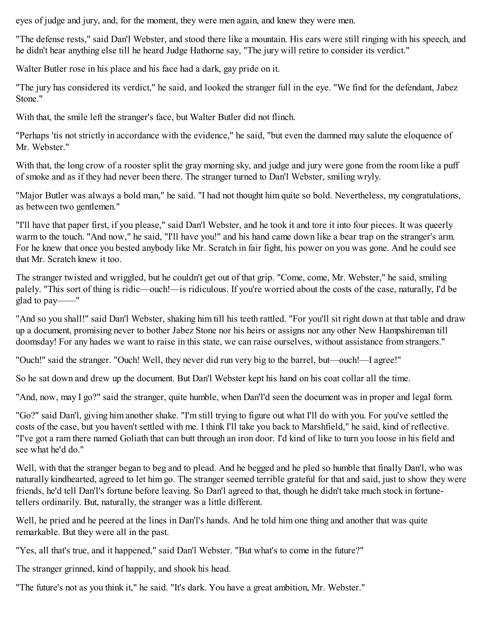eyes of judge and jury, and, for the moment, they were men again, and knew they were men.

"The defense rests," said Dan'l Webster, and stood there like a mountain. His ears were still ringing with his speech, and he didn't hear anything else till he heard Judge Hathorne say, "The jury will retire to consider its verdict."

Walter Butler rose in his place and his face had a dark, gay pride on it.

"The jury has considered its verdict," he said, and looked the stranger full in the eye. "We find for the defendant, Jabez Stone<sup>"</sup>

With that, the smile left the stranger's face, but Walter Butler did not flinch.

"Perhaps 'tis not strictly in accordance with the evidence," he said, "but even the damned may salute the eloquence of Mr. Webster."

With that, the long crow of a rooster split the gray morning sky, and judge and jury were gone from the room like a puff of smoke and as if they had never been there. The stranger turned to Dan'l Webster, smiling wryly.

"Major Butler was always a bold man," he said. "I had not thought him quite so bold. Nevertheless, my congratulations, as between two gentlemen."

"I'll have that paper first, if you please," said Dan'l Webster, and he took it and tore it into four pieces. It was queerly warm to the touch. "And now," he said, "I'll have you!" and his hand came down like a bear trap on the stranger's arm. For he knew that once you bested anybody like Mr. Scratch in fair fight, his power on you was gone. And he could see that Mr. Scratch knew it too.

The stranger twisted and wriggled, but he couldn't get out of that grip. "Come, come, Mr. Webster," he said, smiling palely. "This sort of thing is ridic—ouch!—is ridiculous. If you're worried about the costs of the case, naturally, I'd be glad to pay——"

"And so you shall!" said Dan'l Webster, shaking him till his teeth rattled. "For you'll sit right down at that table and draw up a document, promising never to bother Jabez Stone nor his heirs or assigns nor any other New Hampshireman till doomsday! For any hades we want to raise in this state, we can raise ourselves, without assistance from strangers."

"Ouch!" said the stranger. "Ouch! Well, they never did run very big to the barrel, but—ouch!—I agree!"

So he sat down and drew up the document. But Dan'l Webster kept his hand on his coat collar all the time.

"And, now, may I go?" said the stranger, quite humble, when Dan'l'd seen the document was in proper and legal form.

"Go?" said Dan'l, giving him another shake. "I'm still trying to figure out what I'll do with you. For you've settled the costs of the case, but you haven't settled with me. I think I'll take you back to Marshfield," he said, kind of reflective. "I've got a ram there named Goliath that can butt through an iron door. I'd kind of like to turn you loose in his field and see what he'd do."

Well, with that the stranger began to beg and to plead. And he begged and he pled so humble that finally Dan'l, who was naturally kindhearted, agreed to let him go. The stranger seemed terrible grateful for that and said, just to show they were friends, he'd tell Dan'l's fortune before leaving. So Dan'l agreed to that, though he didn't take much stock in fortunetellers ordinarily. But, naturally, the stranger was a little different.

Well, he pried and he peered at the lines in Dan'l's hands. And he told him one thing and another that was quite remarkable. But they were all in the past.

"Yes, all that's true, and it happened," said Dan'l Webster. "But what's to come in the future?"

The stranger grinned, kind of happily, and shook his head.

"The future's not as you think it," he said. "It's dark. You have a great ambition, Mr. Webster."